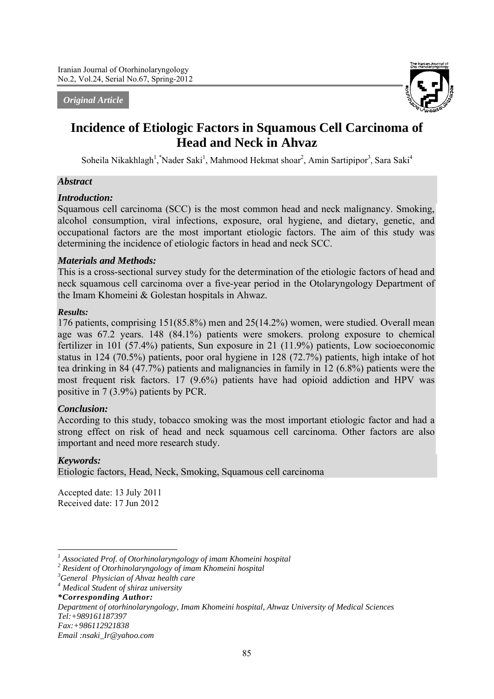#### *Original Article*



# **Incidence of Etiologic Factors in Squamous Cell Carcinoma of Head and Neck in Ahvaz**

Soheila Nikakhlagh<sup>1</sup>, \*Nader Saki<sup>1</sup>, Mahmood Hekmat shoar<sup>2</sup>, Amin Sartipipor<sup>3</sup>, Sara Saki<sup>4</sup>

### *Abstract*

### *Introduction:*

Squamous cell carcinoma (SCC) is the most common head and neck malignancy. Smoking, alcohol consumption, viral infections, exposure, oral hygiene, and dietary, genetic, and occupational factors are the most important etiologic factors. The aim of this study was determining the incidence of etiologic factors in head and neck SCC.

### *Materials and Methods:*

This is a cross-sectional survey study for the determination of the etiologic factors of head and neck squamous cell carcinoma over a five-year period in the Otolaryngology Department of the Imam Khomeini & Golestan hospitals in Ahwaz.

### *Results:*

176 patients, comprising 151(85.8%) men and 25(14.2%) women, were studied. Overall mean age was 67.2 years. 148 (84.1%) patients were smokers. prolong exposure to chemical fertilizer in 101 (57.4%) patients, Sun exposure in 21 (11.9%) patients, Low socioeconomic status in 124 (70.5%) patients, poor oral hygiene in 128 (72.7%) patients, high intake of hot tea drinking in 84 (47.7%) patients and malignancies in family in 12 (6.8%) patients were the most frequent risk factors. 17 (9.6%) patients have had opioid addiction and HPV was positive in 7 (3.9%) patients by PCR.

### *Conclusion:*

According to this study, tobacco smoking was the most important etiologic factor and had a strong effect on risk of head and neck squamous cell carcinoma. Other factors are also important and need more research study.

### *Keywords:*

<u>.</u>

Etiologic factors, Head, Neck, Smoking, Squamous cell carcinoma

Accepted date: 13 July 2011 Received date: 17 Jun 2012

*\*Corresponding Author:*

*Department of otorhinolaryngology, Imam Khomeini hospital, Ahwaz University of Medical Sciences Tel:+989161187397*

*Fax:+986112921838*

*Email :nsaki\_Ir@yahoo.com*

*<sup>1</sup> Associated Prof. of Otorhinolaryngology of imam Khomeini hospital*

*<sup>2</sup> Resident of Otorhinolaryngology of imam Khomeini hospital*

*<sup>3</sup> General Physician of Ahvaz health care*

*<sup>4</sup> Medical Student of shiraz university*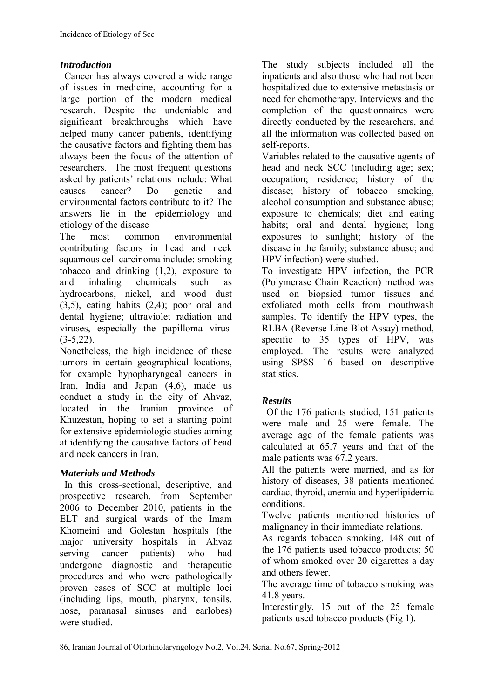### *Introduction*

Cancer has always covered a wide range of issues in medicine, accounting for a large portion of the modern medical research. Despite the undeniable and significant breakthroughs which have helped many cancer patients, identifying the causative factors and fighting them has always been the focus of the attention of researchers. The most frequent questions asked by patients' relations include: What causes cancer? Do genetic and environmental factors contribute to it? The answers lie in the epidemiology and etiology of the disease

The most common environmental contributing factors in head and neck squamous cell carcinoma include: smoking tobacco and drinking (1,2), exposure to and inhaling chemicals such as hydrocarbons, nickel, and wood dust (3,5), eating habits (2,4); poor oral and dental hygiene; ultraviolet radiation and viruses, especially the papilloma virus  $(3-5,22)$ .

Nonetheless, the high incidence of these tumors in certain geographical locations, for example hypopharyngeal cancers in Iran, India and Japan (4,6), made us conduct a study in the city of Ahvaz, located in the Iranian province of Khuzestan, hoping to set a starting point for extensive epidemiologic studies aiming at identifying the causative factors of head and neck cancers in Iran.

# *Materials and Methods*

In this cross-sectional, descriptive, and prospective research, from September 2006 to December 2010, patients in the ELT and surgical wards of the Imam Khomeini and Golestan hospitals (the major university hospitals in Ahvaz serving cancer patients) who had undergone diagnostic and therapeutic procedures and who were pathologically proven cases of SCC at multiple loci (including lips, mouth, pharynx, tonsils, nose, paranasal sinuses and earlobes) were studied.

The study subjects included all the inpatients and also those who had not been hospitalized due to extensive metastasis or need for chemotherapy. Interviews and the completion of the questionnaires were directly conducted by the researchers, and all the information was collected based on self-reports.

Variables related to the causative agents of head and neck SCC (including age; sex; occupation; residence; history of the disease; history of tobacco smoking, alcohol consumption and substance abuse; exposure to chemicals; diet and eating habits; oral and dental hygiene; long exposures to sunlight; history of the disease in the family; substance abuse; and HPV infection) were studied.

To investigate HPV infection, the PCR (Polymerase Chain Reaction) method was used on biopsied tumor tissues and exfoliated moth cells from mouthwash samples. To identify the HPV types, the RLBA (Reverse Line Blot Assay) method, specific to 35 types of HPV, was employed. The results were analyzed using SPSS 16 based on descriptive statistics.

# *Results*

Of the 176 patients studied, 151 patients were male and 25 were female. The average age of the female patients was calculated at 65.7 years and that of the male patients was 67.2 years.

All the patients were married, and as for history of diseases, 38 patients mentioned cardiac, thyroid, anemia and hyperlipidemia conditions.

Twelve patients mentioned histories of malignancy in their immediate relations.

As regards tobacco smoking, 148 out of the 176 patients used tobacco products; 50 of whom smoked over 20 cigarettes a day and others fewer.

The average time of tobacco smoking was 41.8 years.

Interestingly, 15 out of the 25 female patients used tobacco products (Fig 1).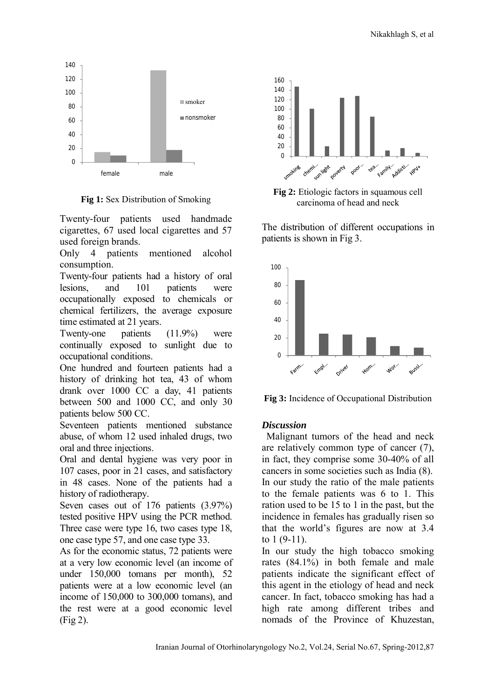

**Fig 1:** Sex Distribution of Smoking

Twenty-four patients used handmade cigarettes, 67 used local cigarettes and 57 used foreign brands.

Only 4 patients mentioned alcohol consumption.

Twenty-four patients had a history of oral lesions, and 101 patients were occupationally exposed to chemicals or chemical fertilizers, the average exposure time estimated at 21 years.

Twenty-one patients (11.9%) were continually exposed to sunlight due to occupational conditions.

One hundred and fourteen patients had a history of drinking hot tea, 43 of whom drank over 1000 CC a day, 41 patients between 500 and 1000 CC, and only 30 patients below 500 CC.

Seventeen patients mentioned substance abuse, of whom 12 used inhaled drugs, two oral and three injections.

Oral and dental hygiene was very poor in 107 cases, poor in 21 cases, and satisfactory in 48 cases. None of the patients had a history of radiotherapy.

Seven cases out of 176 patients (3.97%) tested positive HPV using the PCR method. Three case were type 16, two cases type 18, one case type 57, and one case type 33.

As for the economic status, 72 patients were at a very low economic level (an income of under 150,000 tomans per month), 52 patients were at a low economic level (an income of 150,000 to 300,000 tomans), and the rest were at a good economic level (Fig 2).



**Fig 2:** Etiologic factors in squamous cell carcinoma of head and neck

The distribution of different occupations in patients is shown in Fig 3.



**Fig 3:** Incidence of Occupational Distribution

### *Discussion*

Malignant tumors of the head and neck are relatively common type of cancer (7), in fact, they comprise some 30-40% of all cancers in some societies such as India (8). In our study the ratio of the male patients to the female patients was 6 to 1. This ration used to be 15 to 1 in the past, but the incidence in females has gradually risen so that the world's figures are now at 3.4 to 1 (9-11).

In our study the high tobacco smoking rates (84.1%) in both female and male patients indicate the significant effect of this agent in the etiology of head and neck cancer. In fact, tobacco smoking has had a high rate among different tribes and nomads of the Province of Khuzestan,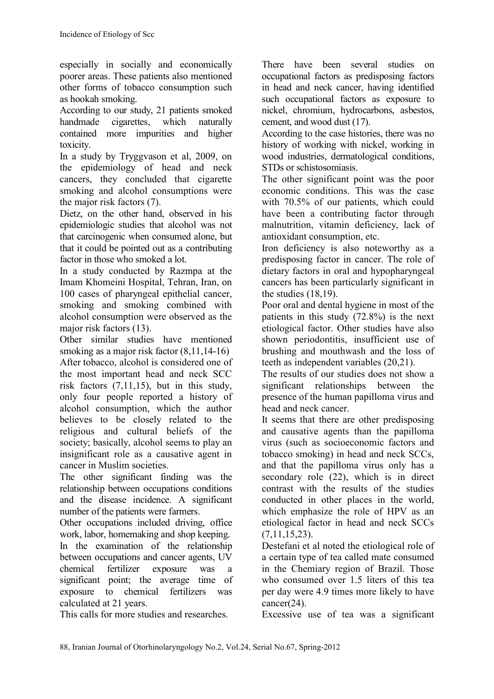especially in socially and economically poorer areas. These patients also mentioned other forms of tobacco consumption such as hookah smoking.

According to our study, 21 patients smoked handmade cigarettes, which naturally contained more impurities and higher toxicity.

In a study by Tryggvason et al, 2009, on the epidemiology of head and neck cancers, they concluded that cigarette smoking and alcohol consumptions were the major risk factors (7).

Dietz, on the other hand, observed in his epidemiologic studies that alcohol was not that carcinogenic when consumed alone, but that it could be pointed out as a contributing factor in those who smoked a lot.

In a study conducted by Razmpa at the Imam Khomeini Hospital, Tehran, Iran, on 100 cases of pharyngeal epithelial cancer, smoking and smoking combined with alcohol consumption were observed as the major risk factors (13).

Other similar studies have mentioned smoking as a major risk factor  $(8,11,14-16)$ After tobacco, alcohol is considered one of the most important head and neck SCC risk factors (7,11,15), but in this study, only four people reported a history of alcohol consumption, which the author believes to be closely related to the religious and cultural beliefs of the society; basically, alcohol seems to play an insignificant role as a causative agent in cancer in Muslim societies.

The other significant finding was the relationship between occupations conditions and the disease incidence. A significant number of the patients were farmers.

Other occupations included driving, office work, labor, homemaking and shop keeping. In the examination of the relationship between occupations and cancer agents, UV chemical fertilizer exposure was a significant point; the average time of exposure to chemical fertilizers was calculated at 21 years.

This calls for more studies and researches.

There have been several studies on occupational factors as predisposing factors in head and neck cancer, having identified such occupational factors as exposure to nickel, chromium, hydrocarbons, asbestos, cement, and wood dust (17).

According to the case histories, there was no history of working with nickel, working in wood industries, dermatological conditions, STDs or schistosomiasis.

The other significant point was the poor economic conditions. This was the case with 70.5% of our patients, which could have been a contributing factor through malnutrition, vitamin deficiency, lack of antioxidant consumption, etc.

Iron deficiency is also noteworthy as a predisposing factor in cancer. The role of dietary factors in oral and hypopharyngeal cancers has been particularly significant in the studies (18,19).

Poor oral and dental hygiene in most of the patients in this study (72.8%) is the next etiological factor. Other studies have also shown periodontitis, insufficient use of brushing and mouthwash and the loss of teeth as independent variables (20,21).

The results of our studies does not show a significant relationships between the presence of the human papilloma virus and head and neck cancer.

It seems that there are other predisposing and causative agents than the papilloma virus (such as socioeconomic factors and tobacco smoking) in head and neck SCCs, and that the papilloma virus only has a secondary role (22), which is in direct contrast with the results of the studies conducted in other places in the world, which emphasize the role of HPV as an etiological factor in head and neck SCCs (7,11,15,23).

Destefani et al noted the etiological role of a certain type of tea called mate consumed in the Chemiary region of Brazil. Those who consumed over 1.5 liters of this tea per day were 4.9 times more likely to have cancer(24).

Excessive use of tea was a significant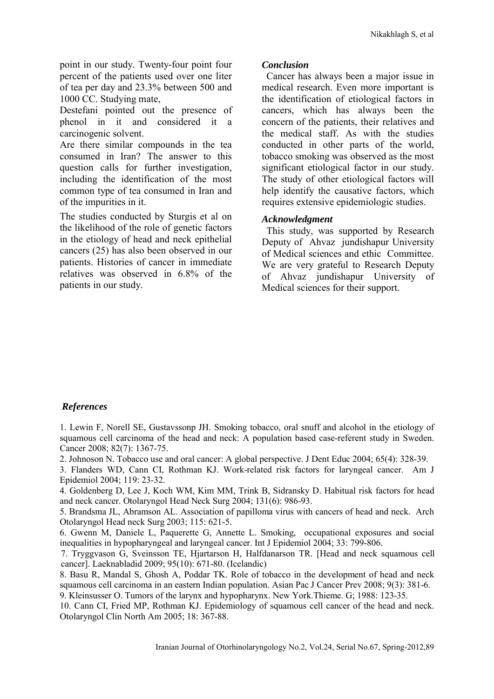point in our study. Twenty-four point four percent of the patients used over one liter of tea per day and 23.3% between 500 and 1000 CC. Studying mate,

Destefani pointed out the presence of phenol in it and considered it a carcinogenic solvent.

Are there similar compounds in the tea consumed in Iran? The answer to this question calls for further investigation, including the identification of the most common type of tea consumed in Iran and of the impurities in it.

The studies conducted by Sturgis et al on the likelihood of the role of genetic factors in the etiology of head and neck epithelial cancers (25) has also been observed in our patients. Histories of cancer in immediate relatives was observed in 6.8% of the patients in our study.

### *Conclusion*

Cancer has always been a major issue in medical research. Even more important is the identification of etiological factors in cancers, which has always been the concern of the patients, their relatives and the medical staff. As with the studies conducted in other parts of the world, tobacco smoking was observed as the most significant etiological factor in our study. The study of other etiological factors will help identify the causative factors, which requires extensive epidemiologic studies.

### *Acknowledgment*

This study, was supported by Research Deputy of Ahvaz jundishapur University of Medical sciences and ethic Committee. We are very grateful to Research Deputy of Ahvaz jundishapur University of Medical sciences for their support.

### *References*

1. Lewin F, Norell SE, Gustavssonp JH. Smoking tobacco, oral snuff and alcohol in the etiology of squamous cell carcinoma of the head and neck: A population based case-referent study in Sweden. Cancer 2008; 82(7): 1367-75.

2. Johnoson N. Tobacco use and oral cancer: A global perspective. J Dent Educ 2004; 65(4): 328-39.

3. Flanders WD, Cann CI, Rothman KJ. Work-related risk factors for laryngeal cancer. Am J Epidemiol 2004; 119: 23-32.

4. Goldenberg D, Lee J, Koch WM, Kim MM, Trink B, Sidransky D. Habitual risk factors for head and neck cancer. Otolaryngol Head Neck Surg 2004; 131(6): 986-93.

5. Brandsma JL, Abramson AL. Association of papilloma virus with cancers of head and neck. Arch Otolaryngol Head neck Surg 2003; 115: 621-5.

6. Gwenn M, Daniele L, Paquerette G, Annette L. Smoking, occupational exposures and social inequalities in hypopharyngeal and laryngeal cancer. Int J Epidemiol 2004; 33: 799-806.

7. Tryggvason G, Sveinsson TE, Hjartarson H, Halfdanarson TR. [Head and neck squamous cell cancer]. Laeknabladid 2009; 95(10): 671-80. (Icelandic)

8. Basu R, Mandal S, Ghosh A, Poddar TK. Role of tobacco in the development of head and neck squamous cell carcinoma in an eastern Indian population. Asian Pac J Cancer Prev 2008; 9(3): 381-6.

9. Kleinsusser O. Tumors of the larynx and hypopharynx. New York.Thieme. G; 1988: 123-35.

10. Cann CI, Fried MP, Rothman KJ. Epidemiology of squamous cell cancer of the head and neck. Otolaryngol Clin North Am 2005; 18: 367-88.